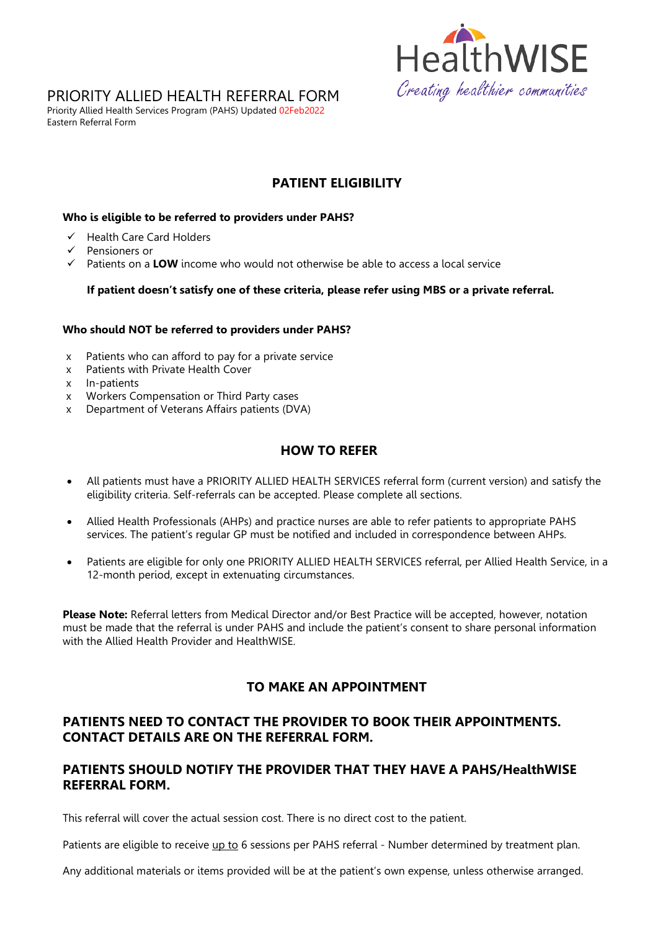

# PRIORITY ALLIED HEALTH REFERRAL FORM

Priority Allied Health Services Program (PAHS) Updated 02Feb2022 Eastern Referral Form

# **PATIENT ELIGIBILITY**

#### **Who is eligible to be referred to providers under PAHS?**

- $\checkmark$  Health Care Card Holders
- $\checkmark$  Pensioners or
- $\checkmark$  Patients on a **LOW** income who would not otherwise be able to access a local service

#### **If patient doesn't satisfy one of these criteria, please refer using MBS or a private referral.**

#### **Who should NOT be referred to providers under PAHS?**

- x Patients who can afford to pay for a private service
- x Patients with Private Health Cover
- x In-patients
- x Workers Compensation or Third Party cases<br>x Department of Veterans Affairs patients (DV)
- Department of Veterans Affairs patients (DVA)

### **HOW TO REFER**

- All patients must have a PRIORITY ALLIED HEALTH SERVICES referral form (current version) and satisfy the eligibility criteria. Self-referrals can be accepted. Please complete all sections.
- Allied Health Professionals (AHPs) and practice nurses are able to refer patients to appropriate PAHS services. The patient's regular GP must be notified and included in correspondence between AHPs.
- Patients are eligible for only one PRIORITY ALLIED HEALTH SERVICES referral, per Allied Health Service, in a 12-month period, except in extenuating circumstances.

**Please Note:** Referral letters from Medical Director and/or Best Practice will be accepted, however, notation must be made that the referral is under PAHS and include the patient's consent to share personal information with the Allied Health Provider and HealthWISE.

### **TO MAKE AN APPOINTMENT**

### **PATIENTS NEED TO CONTACT THE PROVIDER TO BOOK THEIR APPOINTMENTS. CONTACT DETAILS ARE ON THE REFERRAL FORM.**

### **PATIENTS SHOULD NOTIFY THE PROVIDER THAT THEY HAVE A PAHS/HealthWISE REFERRAL FORM.**

This referral will cover the actual session cost. There is no direct cost to the patient.

Patients are eligible to receive up to 6 sessions per PAHS referral - Number determined by treatment plan.

Any additional materials or items provided will be at the patient's own expense, unless otherwise arranged.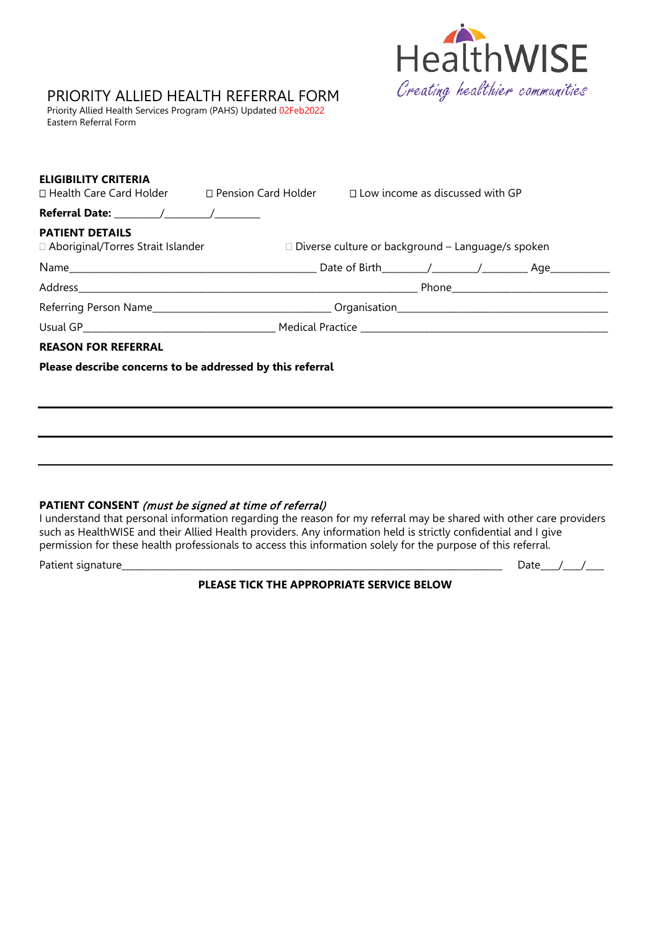

# PRIORITY ALLIED HEALTH REFERRAL FORM

Priority Allied Health Services Program (PAHS) Updated 02Feb2022 Eastern Referral Form

| <b>ELIGIBILITY CRITERIA</b><br>□ Health Care Card Holder □ Pension Card Holder □ Low income as discussed with GP |  |                                                          |  |  |  |  |
|------------------------------------------------------------------------------------------------------------------|--|----------------------------------------------------------|--|--|--|--|
|                                                                                                                  |  |                                                          |  |  |  |  |
| <b>PATIENT DETAILS</b><br>□ Aboriginal/Torres Strait Islander                                                    |  | $\Box$ Diverse culture or background – Language/s spoken |  |  |  |  |
|                                                                                                                  |  |                                                          |  |  |  |  |
|                                                                                                                  |  |                                                          |  |  |  |  |
|                                                                                                                  |  |                                                          |  |  |  |  |
|                                                                                                                  |  |                                                          |  |  |  |  |
| <b>REASON FOR REFERRAL</b>                                                                                       |  |                                                          |  |  |  |  |
| Please describe concerns to be addressed by this referral                                                        |  |                                                          |  |  |  |  |
|                                                                                                                  |  |                                                          |  |  |  |  |
|                                                                                                                  |  |                                                          |  |  |  |  |
|                                                                                                                  |  |                                                          |  |  |  |  |
|                                                                                                                  |  |                                                          |  |  |  |  |
|                                                                                                                  |  |                                                          |  |  |  |  |

#### **PATIENT CONSENT** (must be signed at time of referral)

I understand that personal information regarding the reason for my referral may be shared with other care providers such as HealthWISE and their Allied Health providers. Any information held is strictly confidential and I give permission for these health professionals to access this information solely for the purpose of this referral.

Patient signature\_\_\_\_\_\_\_\_\_\_\_\_\_\_\_\_\_\_\_\_\_\_\_\_\_\_\_\_\_\_\_\_\_\_\_\_\_\_\_\_\_\_\_\_\_\_\_\_\_\_\_\_\_\_\_\_\_\_\_\_\_\_\_\_\_\_\_\_\_\_\_\_\_\_\_\_\_\_\_\_\_\_\_ Date\_\_\_\_/\_\_\_\_/\_\_\_\_

**PLEASE TICK THE APPROPRIATE SERVICE BELOW**